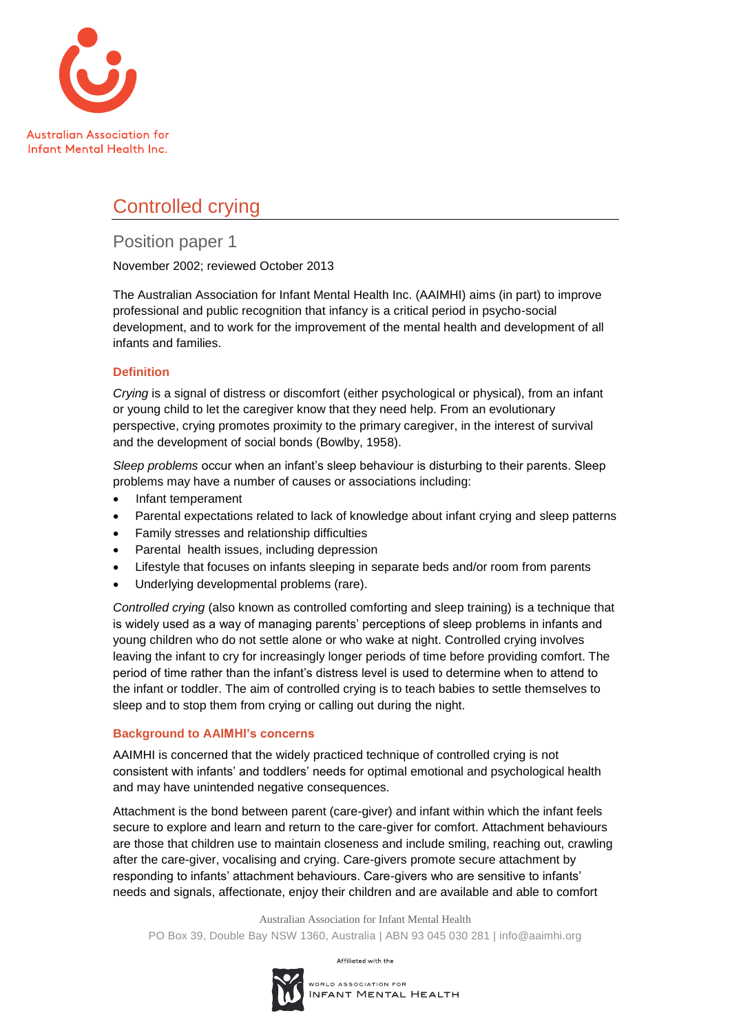

# Controlled crying

# Position paper 1

November 2002; reviewed October 2013

The Australian Association for Infant Mental Health Inc. (AAIMHI) aims (in part) to improve professional and public recognition that infancy is a critical period in psycho-social development, and to work for the improvement of the mental health and development of all infants and families.

# **Definition**

*Crying* is a signal of distress or discomfort (either psychological or physical), from an infant or young child to let the caregiver know that they need help. From an evolutionary perspective, crying promotes proximity to the primary caregiver, in the interest of survival and the development of social bonds (Bowlby, 1958).

*Sleep problems* occur when an infant's sleep behaviour is disturbing to their parents. Sleep problems may have a number of causes or associations including:

- Infant temperament
- Parental expectations related to lack of knowledge about infant crying and sleep patterns
- Family stresses and relationship difficulties
- Parental health issues, including depression
- Lifestyle that focuses on infants sleeping in separate beds and/or room from parents
- Underlying developmental problems (rare).

*Controlled crying* (also known as controlled comforting and sleep training) is a technique that is widely used as a way of managing parents' perceptions of sleep problems in infants and young children who do not settle alone or who wake at night. Controlled crying involves leaving the infant to cry for increasingly longer periods of time before providing comfort. The period of time rather than the infant's distress level is used to determine when to attend to the infant or toddler. The aim of controlled crying is to teach babies to settle themselves to sleep and to stop them from crying or calling out during the night.

# **Background to AAIMHI's concerns**

AAIMHI is concerned that the widely practiced technique of controlled crying is not consistent with infants' and toddlers' needs for optimal emotional and psychological health and may have unintended negative consequences.

Attachment is the bond between parent (care-giver) and infant within which the infant feels secure to explore and learn and return to the care-giver for comfort. Attachment behaviours are those that children use to maintain closeness and include smiling, reaching out, crawling after the care-giver, vocalising and crying. Care-givers promote secure attachment by responding to infants' attachment behaviours. Care-givers who are sensitive to infants' needs and signals, affectionate, enjoy their children and are available and able to comfort

Australian Association for Infant Mental Health PO Box 39, Double Bay NSW 1360, Australia | ABN 93 045 030 281 | info@aaimhi.org

Affiliated with the

WORLD ASSOCIATION FOR INFANT MENTAL HEALTH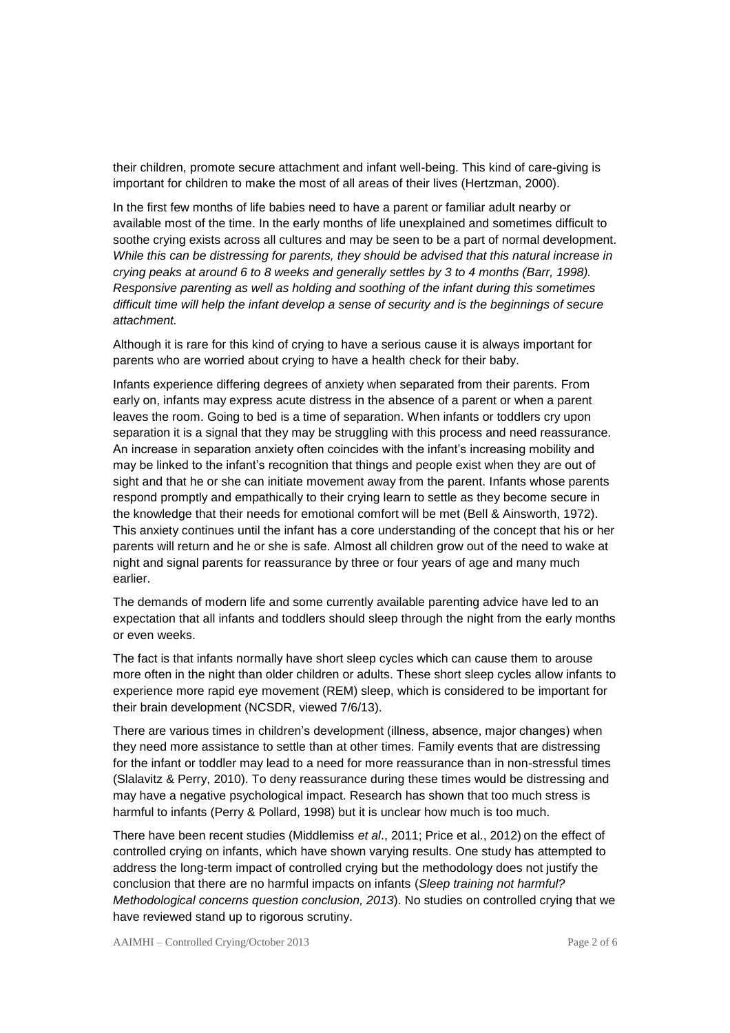their children, promote secure attachment and infant well-being. This kind of care-giving is important for children to make the most of all areas of their lives (Hertzman, 2000).

In the first few months of life babies need to have a parent or familiar adult nearby or available most of the time. In the early months of life unexplained and sometimes difficult to soothe crying exists across all cultures and may be seen to be a part of normal development. *While this can be distressing for parents, they should be advised that this natural increase in crying peaks at around 6 to 8 weeks and generally settles by 3 to 4 months (Barr, 1998). Responsive parenting as well as holding and soothing of the infant during this sometimes difficult time will help the infant develop a sense of security and is the beginnings of secure attachment.*

Although it is rare for this kind of crying to have a serious cause it is always important for parents who are worried about crying to have a health check for their baby.

Infants experience differing degrees of anxiety when separated from their parents. From early on, infants may express acute distress in the absence of a parent or when a parent leaves the room. Going to bed is a time of separation. When infants or toddlers cry upon separation it is a signal that they may be struggling with this process and need reassurance. An increase in separation anxiety often coincides with the infant's increasing mobility and may be linked to the infant's recognition that things and people exist when they are out of sight and that he or she can initiate movement away from the parent. Infants whose parents respond promptly and empathically to their crying learn to settle as they become secure in the knowledge that their needs for emotional comfort will be met (Bell & Ainsworth, 1972). This anxiety continues until the infant has a core understanding of the concept that his or her parents will return and he or she is safe. Almost all children grow out of the need to wake at night and signal parents for reassurance by three or four years of age and many much earlier.

The demands of modern life and some currently available parenting advice have led to an expectation that all infants and toddlers should sleep through the night from the early months or even weeks.

The fact is that infants normally have short sleep cycles which can cause them to arouse more often in the night than older children or adults. These short sleep cycles allow infants to experience more rapid eye movement (REM) sleep, which is considered to be important for their brain development (NCSDR, viewed 7/6/13).

There are various times in children's development (illness, absence, major changes) when they need more assistance to settle than at other times. Family events that are distressing for the infant or toddler may lead to a need for more reassurance than in non-stressful times (Slalavitz & Perry, 2010). To deny reassurance during these times would be distressing and may have a negative psychological impact. Research has shown that too much stress is harmful to infants (Perry & Pollard, 1998) but it is unclear how much is too much.

There have been recent studies (Middlemiss *et al*., 2011; Price et al., 2012) on the effect of controlled crying on infants, which have shown varying results. One study has attempted to address the long-term impact of controlled crying but the methodology does not justify the conclusion that there are no harmful impacts on infants (*Sleep training not harmful? Methodological concerns question conclusion, 2013*). No studies on controlled crying that we have reviewed stand up to rigorous scrutiny.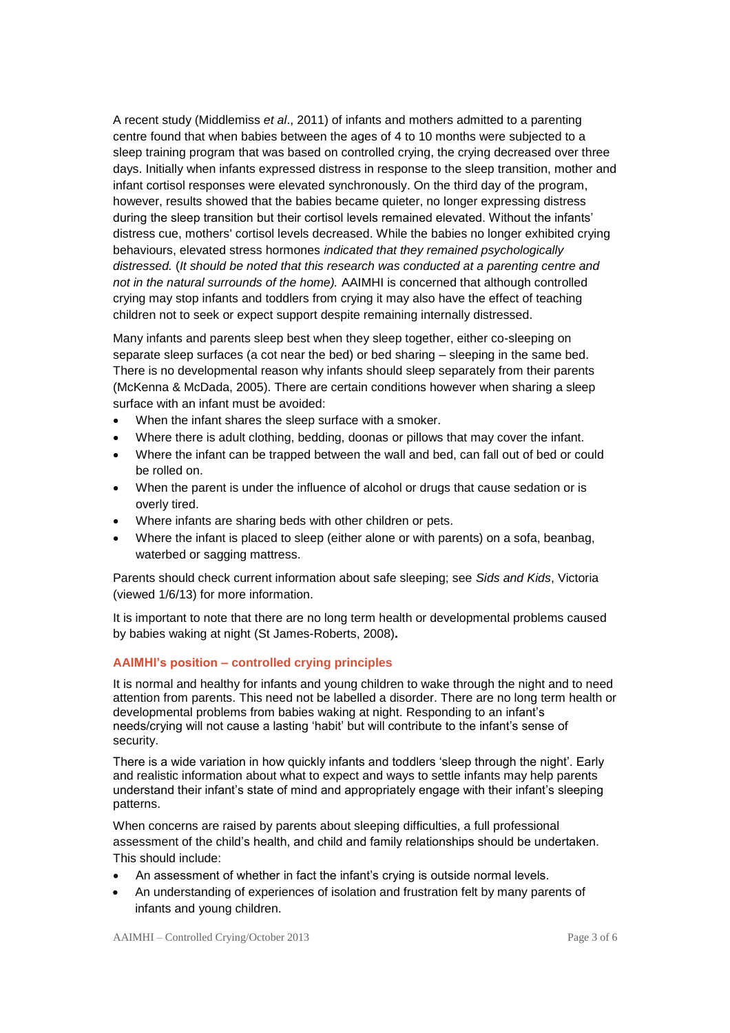A recent study (Middlemiss *et al*., 2011) of infants and mothers admitted to a parenting centre found that when babies between the ages of 4 to 10 months were subjected to a sleep training program that was based on controlled crying, the crying decreased over three days. Initially when infants expressed distress in response to the sleep transition, mother and infant cortisol responses were elevated synchronously. On the third day of the program, however, results showed that the babies became quieter, no longer expressing distress during the sleep transition but their cortisol levels remained elevated. Without the infants' distress cue, mothers' cortisol levels decreased. While the babies no longer exhibited crying behaviours, elevated stress hormones *indicated that they remained psychologically distressed.* (*It should be noted that this research was conducted at a parenting centre and not in the natural surrounds of the home).* AAIMHI is concerned that although controlled crying may stop infants and toddlers from crying it may also have the effect of teaching children not to seek or expect support despite remaining internally distressed.

Many infants and parents sleep best when they sleep together, either co-sleeping on separate sleep surfaces (a cot near the bed) or bed sharing – sleeping in the same bed. There is no developmental reason why infants should sleep separately from their parents (McKenna & McDada, 2005). There are certain conditions however when sharing a sleep surface with an infant must be avoided:

- When the infant shares the sleep surface with a smoker.
- Where there is adult clothing, bedding, doonas or pillows that may cover the infant.
- Where the infant can be trapped between the wall and bed, can fall out of bed or could be rolled on.
- When the parent is under the influence of alcohol or drugs that cause sedation or is overly tired.
- Where infants are sharing beds with other children or pets.
- Where the infant is placed to sleep (either alone or with parents) on a sofa, beanbag, waterbed or sagging mattress.

Parents should check current information about safe sleeping; see *Sids and Kids*, Victoria (viewed 1/6/13) for more information.

It is important to note that there are no long term health or developmental problems caused by babies waking at night (St James-Roberts, 2008)**.** 

# **AAIMHI's position – controlled crying principles**

It is normal and healthy for infants and young children to wake through the night and to need attention from parents. This need not be labelled a disorder. There are no long term health or developmental problems from babies waking at night. Responding to an infant's needs/crying will not cause a lasting 'habit' but will contribute to the infant's sense of security.

There is a wide variation in how quickly infants and toddlers 'sleep through the night'. Early and realistic information about what to expect and ways to settle infants may help parents understand their infant's state of mind and appropriately engage with their infant's sleeping patterns.

When concerns are raised by parents about sleeping difficulties, a full professional assessment of the child's health, and child and family relationships should be undertaken. This should include:

- An assessment of whether in fact the infant's crying is outside normal levels.
- An understanding of experiences of isolation and frustration felt by many parents of infants and young children.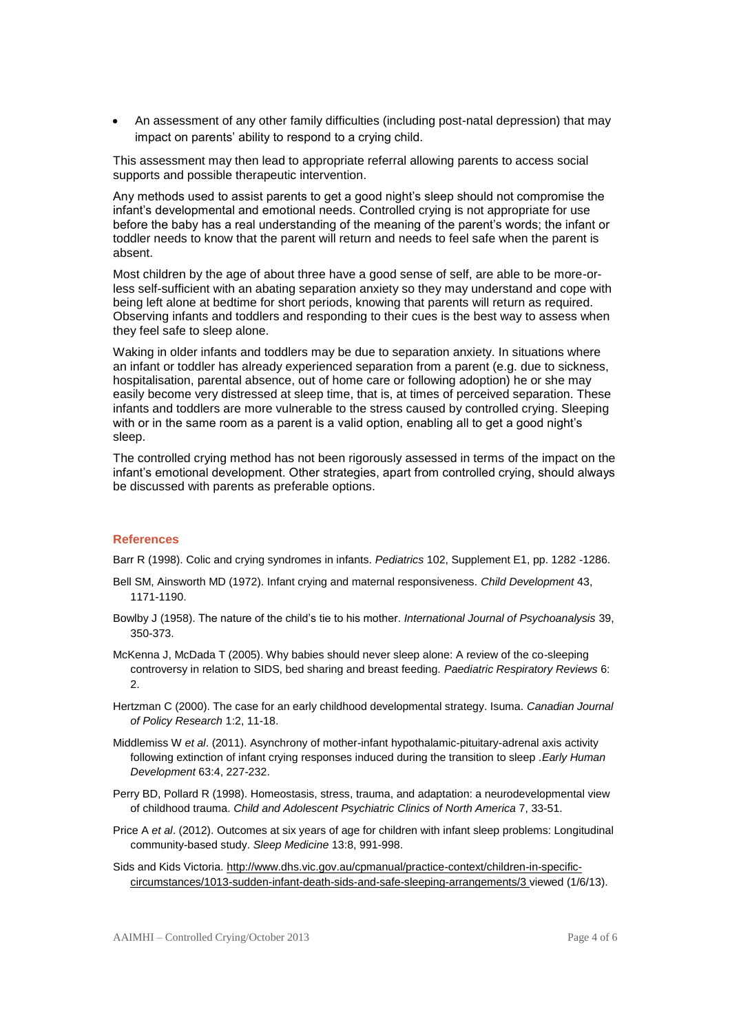• An assessment of any other family difficulties (including post-natal depression) that may impact on parents' ability to respond to a crying child.

This assessment may then lead to appropriate referral allowing parents to access social supports and possible therapeutic intervention.

Any methods used to assist parents to get a good night's sleep should not compromise the infant's developmental and emotional needs. Controlled crying is not appropriate for use before the baby has a real understanding of the meaning of the parent's words; the infant or toddler needs to know that the parent will return and needs to feel safe when the parent is absent.

Most children by the age of about three have a good sense of self, are able to be more-orless self-sufficient with an abating separation anxiety so they may understand and cope with being left alone at bedtime for short periods, knowing that parents will return as required. Observing infants and toddlers and responding to their cues is the best way to assess when they feel safe to sleep alone.

Waking in older infants and toddlers may be due to separation anxiety. In situations where an infant or toddler has already experienced separation from a parent (e.g. due to sickness, hospitalisation, parental absence, out of home care or following adoption) he or she may easily become very distressed at sleep time, that is, at times of perceived separation. These infants and toddlers are more vulnerable to the stress caused by controlled crying. Sleeping with or in the same room as a parent is a valid option, enabling all to get a good night's sleep.

The controlled crying method has not been rigorously assessed in terms of the impact on the infant's emotional development. Other strategies, apart from controlled crying, should always be discussed with parents as preferable options.

### **References**

Barr R (1998). Colic and crying syndromes in infants. *Pediatrics* 102, Supplement E1, pp. 1282 -1286.

- Bell SM, Ainsworth MD (1972). Infant crying and maternal responsiveness. *Child Development* 43, 1171-1190.
- Bowlby J (1958). The nature of the child's tie to his mother. *International Journal of Psychoanalysis* 39, 350-373.
- McKenna J, McDada T (2005). Why babies should never sleep alone: A review of the co-sleeping controversy in relation to SIDS, bed sharing and breast feeding. *Paediatric Respiratory Reviews* 6: 2.
- Hertzman C (2000). The case for an early childhood developmental strategy. Isuma. *Canadian Journal of Policy Research* 1:2, 11-18.
- Middlemiss W *et al*. (2011). Asynchrony of mother-infant hypothalamic-pituitary-adrenal axis activity following extinction of infant crying responses induced during the transition to sleep *.Early Human Development* 63:4, 227-232.
- Perry BD, Pollard R (1998). Homeostasis, stress, trauma, and adaptation: a neurodevelopmental view of childhood trauma. *Child and Adolescent Psychiatric Clinics of North America* 7, 33-51.
- Price A *et al*. (2012). Outcomes at six years of age for children with infant sleep problems: Longitudinal community-based study. *Sleep Medicine* 13:8, 991-998.
- Sids and Kids Victoria[. http://www.dhs.vic.gov.au/cpmanual/practice-context/children-in-specific](http://www.dhs.vic.gov.au/cpmanual/practice-context/children-in-specific-circumstances/1013-sudden-infant-death-sids-and-safe-sleeping-arrangements/3)[circumstances/1013-sudden-infant-death-sids-and-safe-sleeping-arrangements/3](http://www.dhs.vic.gov.au/cpmanual/practice-context/children-in-specific-circumstances/1013-sudden-infant-death-sids-and-safe-sleeping-arrangements/3) viewed (1/6/13).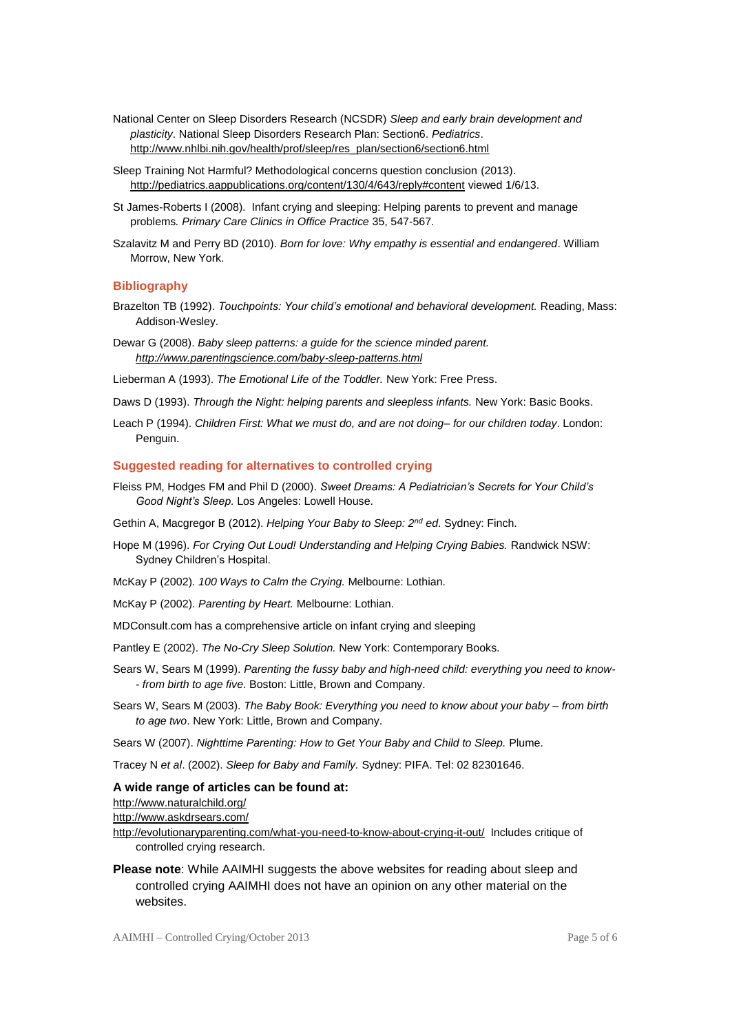- National Center on Sleep Disorders Research (NCSDR) *Sleep and early brain development and plasticity*. National Sleep Disorders Research Plan: Section6. *Pediatrics*. [http://www.nhlbi.nih.gov/health/prof/sleep/res\\_plan/section6/section6.html](http://www.nhlbi.nih.gov/health/prof/sleep/res_plan/section6/section6.html)
- Sleep Training Not Harmful? Methodological concerns question conclusion (2013). <http://pediatrics.aappublications.org/content/130/4/643/reply#content> viewed 1/6/13.
- St James-Roberts I (2008). Infant crying and sleeping: Helping parents to prevent and manage problems*. Primary Care Clinics in Office Practice* 35, 547-567.
- Szalavitz M and Perry BD (2010). *Born for love: Why empathy is essential and endangered*. William Morrow, New York.

#### **Bibliography**

- Brazelton TB (1992). *Touchpoints: Your child's emotional and behavioral development.* Reading, Mass: Addison-Wesley.
- Dewar G (2008). *Baby sleep patterns: a guide for the science minded parent. <http://www.parentingscience.com/baby-sleep-patterns.html>*
- Lieberman A (1993). *The Emotional Life of the Toddler.* New York: Free Press.
- Daws D (1993). *Through the Night: helping parents and sleepless infants.* New York: Basic Books.
- Leach P (1994). *Children First: What we must do, and are not doing– for our children today*. London: Penguin.

#### **Suggested reading for alternatives to controlled crying**

Fleiss PM, Hodges FM and Phil D (2000). *Sweet Dreams: A Pediatrician's Secrets for Your Child's Good Night's Sleep.* Los Angeles: Lowell House.

Gethin A, Macgregor B (2012). *Helping Your Baby to Sleep: 2nd ed*. Sydney: Finch.

- Hope M (1996). *For Crying Out Loud! Understanding and Helping Crying Babies.* Randwick NSW: Sydney Children's Hospital.
- McKay P (2002). *100 Ways to Calm the Crying.* Melbourne: Lothian.
- McKay P (2002). *Parenting by Heart.* Melbourne: Lothian.

MDConsult.com has a comprehensive article on infant crying and sleeping

- Pantley E (2002). *The No-Cry Sleep Solution.* New York: Contemporary Books.
- Sears W, Sears M (1999). *[Parenting the fussy baby and high-need child: everything you need to know-](http://cat.lib.unimelb.edu.au/search~S30?/asears%2C+william/asears+william/1%2C5%2C24%2CB/frameset&FF=asears+william+m+d&4%2C%2C4/indexsort=-) - [from birth to age five](http://cat.lib.unimelb.edu.au/search~S30?/asears%2C+william/asears+william/1%2C5%2C24%2CB/frameset&FF=asears+william+m+d&4%2C%2C4/indexsort=-)*. Boston: Little, Brown and Company.
- Sears W, Sears M (2003). *The Baby Book: Everything you need to know about your baby – from birth to age two*. New York: Little, Brown and Company.

Sears W (2007). *Nighttime Parenting: How to Get Your Baby and Child to Sleep.* Plume.

Tracey N *et al*. (2002). *Sleep for Baby and Family.* Sydney: PIFA. Tel: 02 82301646.

#### **A wide range of articles can be found at:**

<http://www.naturalchild.org/>

<http://www.askdrsears.com/>

<http://evolutionaryparenting.com/what-you-need-to-know-about-crying-it-out/>Includes critique of controlled crying research.

# **Please note**: While AAIMHI suggests the above websites for reading about sleep and controlled crying AAIMHI does not have an opinion on any other material on the websites.